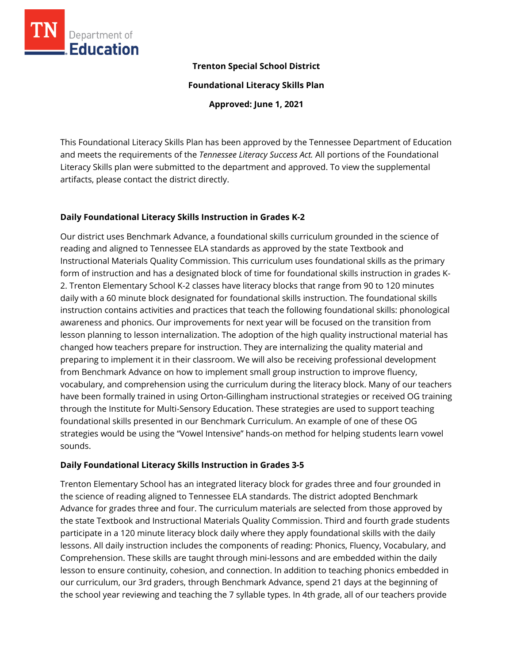

## **Trenton Special School District**

**Foundational Literacy Skills Plan**

**Approved: June 1, 2021**

This Foundational Literacy Skills Plan has been approved by the Tennessee Department of Education and meets the requirements of the *Tennessee Literacy Success Act.* All portions of the Foundational Literacy Skills plan were submitted to the department and approved. To view the supplemental artifacts, please contact the district directly.

## **Daily Foundational Literacy Skills Instruction in Grades K-2**

Our district uses Benchmark Advance, a foundational skills curriculum grounded in the science of reading and aligned to Tennessee ELA standards as approved by the state Textbook and Instructional Materials Quality Commission. This curriculum uses foundational skills as the primary form of instruction and has a designated block of time for foundational skills instruction in grades K-2. Trenton Elementary School K-2 classes have literacy blocks that range from 90 to 120 minutes daily with a 60 minute block designated for foundational skills instruction. The foundational skills instruction contains activities and practices that teach the following foundational skills: phonological awareness and phonics. Our improvements for next year will be focused on the transition from lesson planning to lesson internalization. The adoption of the high quality instructional material has changed how teachers prepare for instruction. They are internalizing the quality material and preparing to implement it in their classroom. We will also be receiving professional development from Benchmark Advance on how to implement small group instruction to improve fluency, vocabulary, and comprehension using the curriculum during the literacy block. Many of our teachers have been formally trained in using Orton-Gillingham instructional strategies or received OG training through the Institute for Multi-Sensory Education. These strategies are used to support teaching foundational skills presented in our Benchmark Curriculum. An example of one of these OG strategies would be using the "Vowel Intensive" hands-on method for helping students learn vowel sounds.

## **Daily Foundational Literacy Skills Instruction in Grades 3-5**

Trenton Elementary School has an integrated literacy block for grades three and four grounded in the science of reading aligned to Tennessee ELA standards. The district adopted Benchmark Advance for grades three and four. The curriculum materials are selected from those approved by the state Textbook and Instructional Materials Quality Commission. Third and fourth grade students participate in a 120 minute literacy block daily where they apply foundational skills with the daily lessons. All daily instruction includes the components of reading: Phonics, Fluency, Vocabulary, and Comprehension. These skills are taught through mini-lessons and are embedded within the daily lesson to ensure continuity, cohesion, and connection. In addition to teaching phonics embedded in our curriculum, our 3rd graders, through Benchmark Advance, spend 21 days at the beginning of the school year reviewing and teaching the 7 syllable types. In 4th grade, all of our teachers provide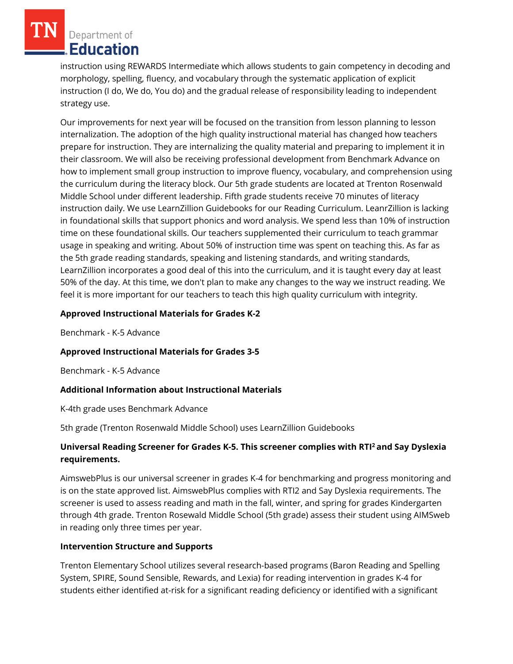Department of Education

instruction using REWARDS Intermediate which allows students to gain competency in decoding and morphology, spelling, fluency, and vocabulary through the systematic application of explicit instruction (I do, We do, You do) and the gradual release of responsibility leading to independent strategy use.

Our improvements for next year will be focused on the transition from lesson planning to lesson internalization. The adoption of the high quality instructional material has changed how teachers prepare for instruction. They are internalizing the quality material and preparing to implement it in their classroom. We will also be receiving professional development from Benchmark Advance on how to implement small group instruction to improve fluency, vocabulary, and comprehension using the curriculum during the literacy block. Our 5th grade students are located at Trenton Rosenwald Middle School under different leadership. Fifth grade students receive 70 minutes of literacy instruction daily. We use LearnZillion Guidebooks for our Reading Curriculum. LeanrZillion is lacking in foundational skills that support phonics and word analysis. We spend less than 10% of instruction time on these foundational skills. Our teachers supplemented their curriculum to teach grammar usage in speaking and writing. About 50% of instruction time was spent on teaching this. As far as the 5th grade reading standards, speaking and listening standards, and writing standards, LearnZillion incorporates a good deal of this into the curriculum, and it is taught every day at least 50% of the day. At this time, we don't plan to make any changes to the way we instruct reading. We feel it is more important for our teachers to teach this high quality curriculum with integrity.

# **Approved Instructional Materials for Grades K-2**

Benchmark - K-5 Advance

## **Approved Instructional Materials for Grades 3-5**

Benchmark - K-5 Advance

## **Additional Information about Instructional Materials**

K-4th grade uses Benchmark Advance

5th grade (Trenton Rosenwald Middle School) uses LearnZillion Guidebooks

# **Universal Reading Screener for Grades K-5. This screener complies with RTI<sup>2</sup>and Say Dyslexia requirements.**

AimswebPlus is our universal screener in grades K-4 for benchmarking and progress monitoring and is on the state approved list. AimswebPlus complies with RTI2 and Say Dyslexia requirements. The screener is used to assess reading and math in the fall, winter, and spring for grades Kindergarten through 4th grade. Trenton Rosewald Middle School (5th grade) assess their student using AIMSweb in reading only three times per year.

## **Intervention Structure and Supports**

Trenton Elementary School utilizes several research-based programs (Baron Reading and Spelling System, SPIRE, Sound Sensible, Rewards, and Lexia) for reading intervention in grades K-4 for students either identified at-risk for a significant reading deficiency or identified with a significant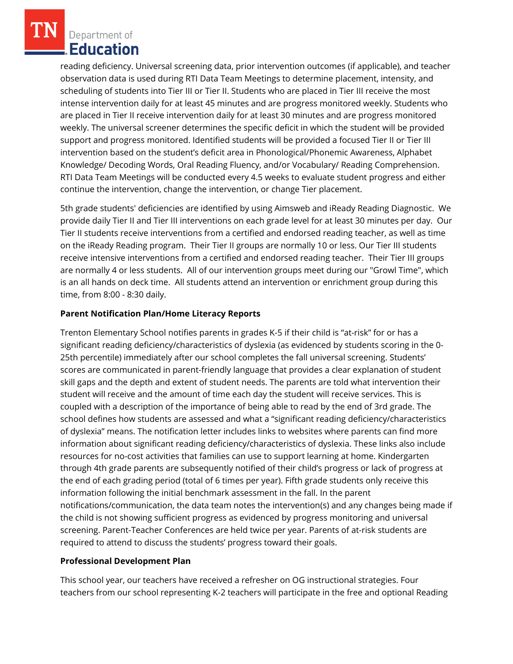Department of Education

reading deficiency. Universal screening data, prior intervention outcomes (if applicable), and teacher observation data is used during RTI Data Team Meetings to determine placement, intensity, and scheduling of students into Tier III or Tier II. Students who are placed in Tier III receive the most intense intervention daily for at least 45 minutes and are progress monitored weekly. Students who are placed in Tier II receive intervention daily for at least 30 minutes and are progress monitored weekly. The universal screener determines the specific deficit in which the student will be provided support and progress monitored. Identified students will be provided a focused Tier II or Tier III intervention based on the student's deficit area in Phonological/Phonemic Awareness, Alphabet Knowledge/ Decoding Words, Oral Reading Fluency, and/or Vocabulary/ Reading Comprehension. RTI Data Team Meetings will be conducted every 4.5 weeks to evaluate student progress and either continue the intervention, change the intervention, or change Tier placement.

5th grade students' deficiencies are identified by using Aimsweb and iReady Reading Diagnostic. We provide daily Tier II and Tier III interventions on each grade level for at least 30 minutes per day. Our Tier II students receive interventions from a certified and endorsed reading teacher, as well as time on the iReady Reading program. Their Tier II groups are normally 10 or less. Our Tier III students receive intensive interventions from a certified and endorsed reading teacher. Their Tier III groups are normally 4 or less students. All of our intervention groups meet during our "Growl Time", which is an all hands on deck time. All students attend an intervention or enrichment group during this time, from 8:00 - 8:30 daily.

# **Parent Notification Plan/Home Literacy Reports**

Trenton Elementary School notifies parents in grades K-5 if their child is "at-risk" for or has a significant reading deficiency/characteristics of dyslexia (as evidenced by students scoring in the 0- 25th percentile) immediately after our school completes the fall universal screening. Students' scores are communicated in parent-friendly language that provides a clear explanation of student skill gaps and the depth and extent of student needs. The parents are told what intervention their student will receive and the amount of time each day the student will receive services. This is coupled with a description of the importance of being able to read by the end of 3rd grade. The school defines how students are assessed and what a "significant reading deficiency/characteristics of dyslexia" means. The notification letter includes links to websites where parents can find more information about significant reading deficiency/characteristics of dyslexia. These links also include resources for no-cost activities that families can use to support learning at home. Kindergarten through 4th grade parents are subsequently notified of their child's progress or lack of progress at the end of each grading period (total of 6 times per year). Fifth grade students only receive this information following the initial benchmark assessment in the fall. In the parent notifications/communication, the data team notes the intervention(s) and any changes being made if the child is not showing sufficient progress as evidenced by progress monitoring and universal screening. Parent-Teacher Conferences are held twice per year. Parents of at-risk students are required to attend to discuss the students' progress toward their goals.

## **Professional Development Plan**

This school year, our teachers have received a refresher on OG instructional strategies. Four teachers from our school representing K-2 teachers will participate in the free and optional Reading